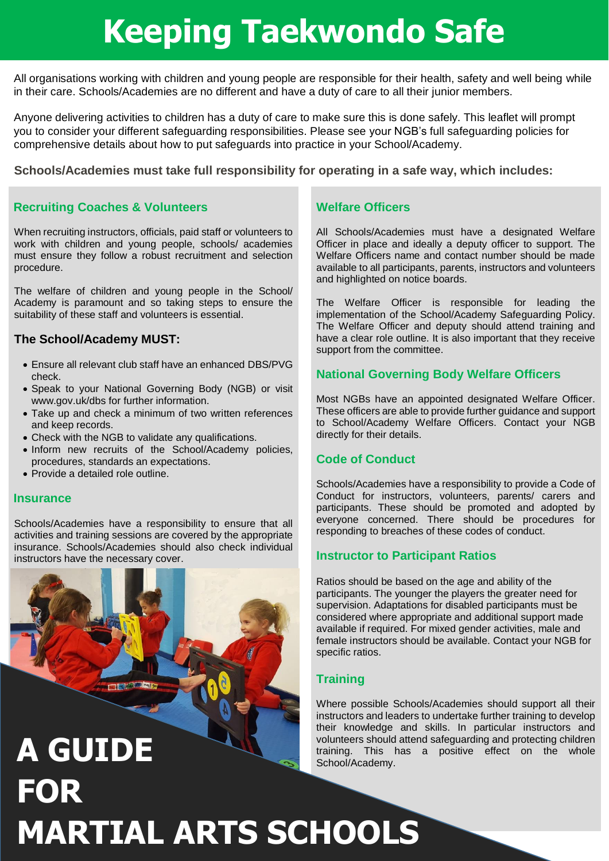# **Keeping Taekwondo Safe**

All organisations working with children and young people are responsible for their health, safety and well being while in their care. Schools/Academies are no different and have a duty of care to all their junior members.

Anyone delivering activities to children has a duty of care to make sure this is done safely. This leaflet will prompt you to consider your different safeguarding responsibilities. Please see your NGB's full safeguarding policies for comprehensive details about how to put safeguards into practice in your School/Academy.

## **Schools/Academies must take full responsibility for operating in a safe way, which includes:**

# **Recruiting Coaches & Volunteers**

When recruiting instructors, officials, paid staff or volunteers to work with children and young people, schools/ academies must ensure they follow a robust recruitment and selection procedure.

The welfare of children and young people in the School/ Academy is paramount and so taking steps to ensure the suitability of these staff and volunteers is essential.

# **The School/Academy MUST:**

- Ensure all relevant club staff have an enhanced DBS/PVG check.
- Speak to your National Governing Body (NGB) or visit www.gov.uk/dbs for further information.
- Take up and check a minimum of two written references and keep records.
- Check with the NGB to validate any qualifications.
- Inform new recruits of the School/Academy policies, procedures, standards an expectations.
- Provide a detailed role outline.

#### **Insurance**

**FOR**

Schools/Academies have a responsibility to ensure that all activities and training sessions are covered by the appropriate insurance. Schools/Academies should also check individual instructors have the necessary cover.



**MARTIAL ARTS SCHOOLS**

# **Welfare Officers**

All Schools/Academies must have a designated Welfare Officer in place and ideally a deputy officer to support. The Welfare Officers name and contact number should be made available to all participants, parents, instructors and volunteers and highlighted on notice boards.

The Welfare Officer is responsible for leading the implementation of the School/Academy Safeguarding Policy. The Welfare Officer and deputy should attend training and have a clear role outline. It is also important that they receive support from the committee.

# **National Governing Body Welfare Officers**

Most NGBs have an appointed designated Welfare Officer. These officers are able to provide further guidance and support to School/Academy Welfare Officers. Contact your NGB directly for their details.

## **Code of Conduct**

Schools/Academies have a responsibility to provide a Code of Conduct for instructors, volunteers, parents/ carers and participants. These should be promoted and adopted by everyone concerned. There should be procedures for responding to breaches of these codes of conduct.

## **Instructor to Participant Ratios**

Ratios should be based on the age and ability of the participants. The younger the players the greater need for supervision. Adaptations for disabled participants must be considered where appropriate and additional support made available if required. For mixed gender activities, male and female instructors should be available. Contact your NGB for specific ratios.

# **Training**

Where possible Schools/Academies should support all their instructors and leaders to undertake further training to develop their knowledge and skills. In particular instructors and volunteers should attend safeguarding and protecting children **A GUIDE** volunteers should attend safeguarding and protecting children training. This has a positive effect on the whole School/Academy.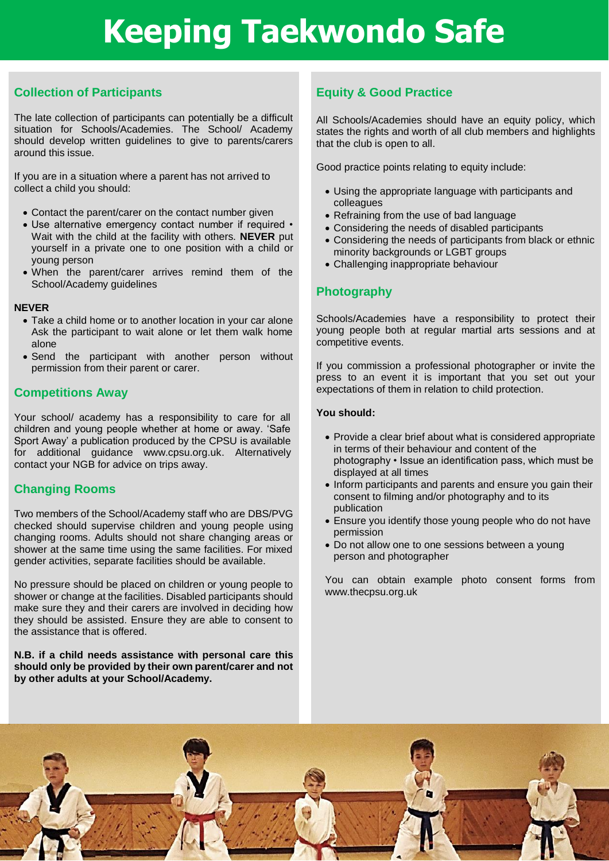# **Keeping Taekwondo Safe**

# **Collection of Participants**

The late collection of participants can potentially be a difficult situation for Schools/Academies. The School/ Academy should develop written quidelines to give to parents/carers around this issue.

If you are in a situation where a parent has not arrived to collect a child you should:

- Contact the parent/carer on the contact number given
- Use alternative emergency contact number if required Wait with the child at the facility with others. **NEVER** put yourself in a private one to one position with a child or young person
- When the parent/carer arrives remind them of the School/Academy guidelines

#### **NEVER**

- Take a child home or to another location in your car alone Ask the participant to wait alone or let them walk home alone
- Send the participant with another person without permission from their parent or carer.

## **Competitions Away**

Your school/ academy has a responsibility to care for all children and young people whether at home or away. 'Safe Sport Away' a publication produced by the CPSU is available for additional guidance www.cpsu.org.uk. Alternatively contact your NGB for advice on trips away.

# **Changing Rooms**

Two members of the School/Academy staff who are DBS/PVG checked should supervise children and young people using changing rooms. Adults should not share changing areas or shower at the same time using the same facilities. For mixed gender activities, separate facilities should be available.

No pressure should be placed on children or young people to shower or change at the facilities. Disabled participants should make sure they and their carers are involved in deciding how they should be assisted. Ensure they are able to consent to the assistance that is offered.

#### **N.B. if a child needs assistance with personal care this should only be provided by their own parent/carer and not by other adults at your School/Academy.**

# **Equity & Good Practice**

All Schools/Academies should have an equity policy, which states the rights and worth of all club members and highlights that the club is open to all.

Good practice points relating to equity include:

- Using the appropriate language with participants and colleagues
- Refraining from the use of bad language
- Considering the needs of disabled participants
- Considering the needs of participants from black or ethnic minority backgrounds or LGBT groups
- Challenging inappropriate behaviour

# **Photography**

Schools/Academies have a responsibility to protect their young people both at regular martial arts sessions and at competitive events.

If you commission a professional photographer or invite the press to an event it is important that you set out your expectations of them in relation to child protection.

#### **You should:**

- Provide a clear brief about what is considered appropriate in terms of their behaviour and content of the photography • Issue an identification pass, which must be displayed at all times
- Inform participants and parents and ensure you gain their consent to filming and/or photography and to its publication
- Ensure you identify those young people who do not have permission
- Do not allow one to one sessions between a young person and photographer

You can obtain example photo consent forms from www.thecpsu.org.uk